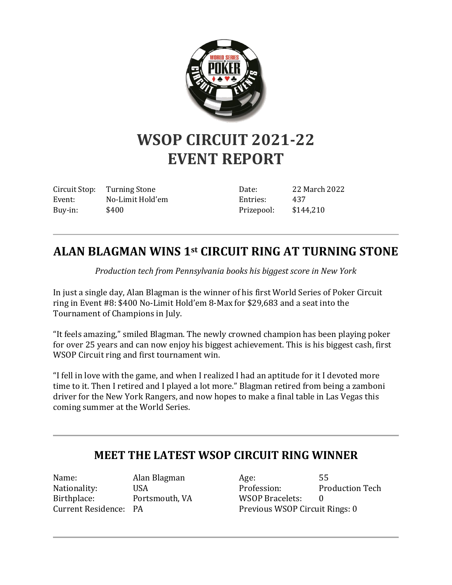

## **WSOP CIRCUIT 2021-22 EVENT REPORT**

Circuit Stop: Turning Stone Event: No-Limit Hold'em Buy-in: \$400

Date: 22 March 2022 Entries: 437 Prizepool: \$144,210

## **ALAN BLAGMAN WINS 1st CIRCUIT RING AT TURNING STONE**

*Production tech from Pennsylvania books his biggest score in New York*

In just a single day, Alan Blagman is the winner of his first World Series of Poker Circuit ring in Event #8: \$400 No-Limit Hold'em 8-Max for \$29,683 and a seat into the Tournament of Champions in July.

"It feels amazing," smiled Blagman. The newly crowned champion has been playing poker for over 25 years and can now enjoy his biggest achievement. This is his biggest cash, first WSOP Circuit ring and first tournament win.

"I fell in love with the game, and when I realized I had an aptitude for it I devoted more time to it. Then I retired and I played a lot more." Blagman retired from being a zamboni driver for the New York Rangers, and now hopes to make a final table in Las Vegas this coming summer at the World Series.

## **MEET THE LATEST WSOP CIRCUIT RING WINNER**

Name: Alan Blagman Nationality: USA Birthplace: Portsmouth, VA Current Residence: PA

Age: 55 Profession: Production Tech WSOP Bracelets: 0 Previous WSOP Circuit Rings: 0